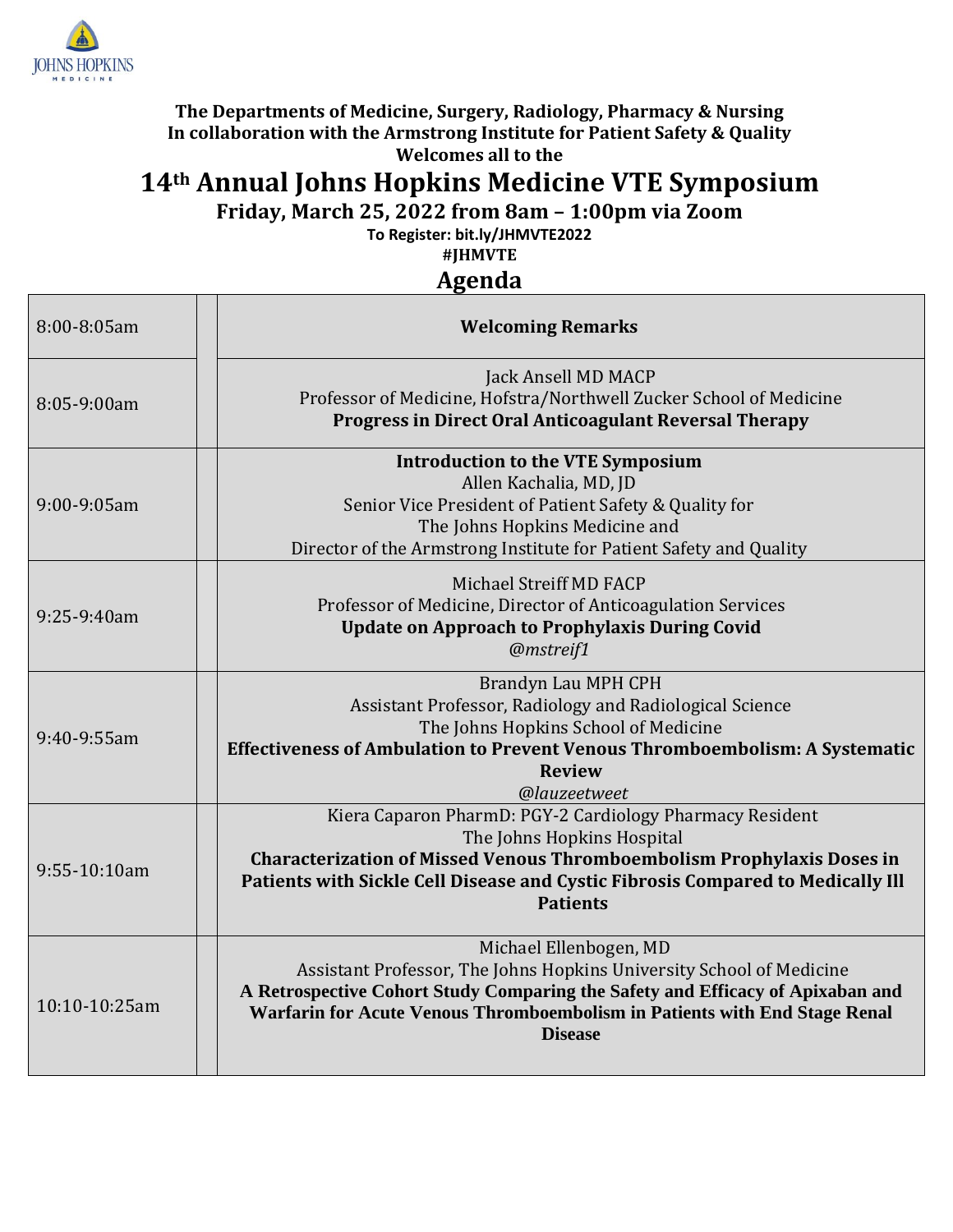

## **The Departments of Medicine, Surgery, Radiology, Pharmacy & Nursing In collaboration with the Armstrong Institute for Patient Safety & Quality Welcomes all to the**

## **14th Annual Johns Hopkins Medicine VTE Symposium**

**Friday, March 25, 2022 from 8am – 1:00pm via Zoom**

**To Register: bit.ly/JHMVTE2022** 

**#JHMVTE**

**Agenda**

| 8:00-8:05am   | <b>Welcoming Remarks</b>                                                                                                                                                                                                                                                         |
|---------------|----------------------------------------------------------------------------------------------------------------------------------------------------------------------------------------------------------------------------------------------------------------------------------|
| 8:05-9:00am   | Jack Ansell MD MACP<br>Professor of Medicine, Hofstra/Northwell Zucker School of Medicine<br><b>Progress in Direct Oral Anticoagulant Reversal Therapy</b>                                                                                                                       |
| 9:00-9:05am   | <b>Introduction to the VTE Symposium</b><br>Allen Kachalia, MD, JD<br>Senior Vice President of Patient Safety & Quality for<br>The Johns Hopkins Medicine and<br>Director of the Armstrong Institute for Patient Safety and Quality                                              |
| 9:25-9:40am   | Michael Streiff MD FACP<br>Professor of Medicine, Director of Anticoagulation Services<br><b>Update on Approach to Prophylaxis During Covid</b><br>@mstreif1                                                                                                                     |
| 9:40-9:55am   | Brandyn Lau MPH CPH<br>Assistant Professor, Radiology and Radiological Science<br>The Johns Hopkins School of Medicine<br>Effectiveness of Ambulation to Prevent Venous Thromboembolism: A Systematic<br><b>Review</b><br>@lauzeetweet                                           |
| 9:55-10:10am  | Kiera Caparon PharmD: PGY-2 Cardiology Pharmacy Resident<br>The Johns Hopkins Hospital<br><b>Characterization of Missed Venous Thromboembolism Prophylaxis Doses in</b><br>Patients with Sickle Cell Disease and Cystic Fibrosis Compared to Medically Ill<br><b>Patients</b>    |
| 10:10-10:25am | Michael Ellenbogen, MD<br>Assistant Professor, The Johns Hopkins University School of Medicine<br>A Retrospective Cohort Study Comparing the Safety and Efficacy of Apixaban and<br>Warfarin for Acute Venous Thromboembolism in Patients with End Stage Renal<br><b>Disease</b> |